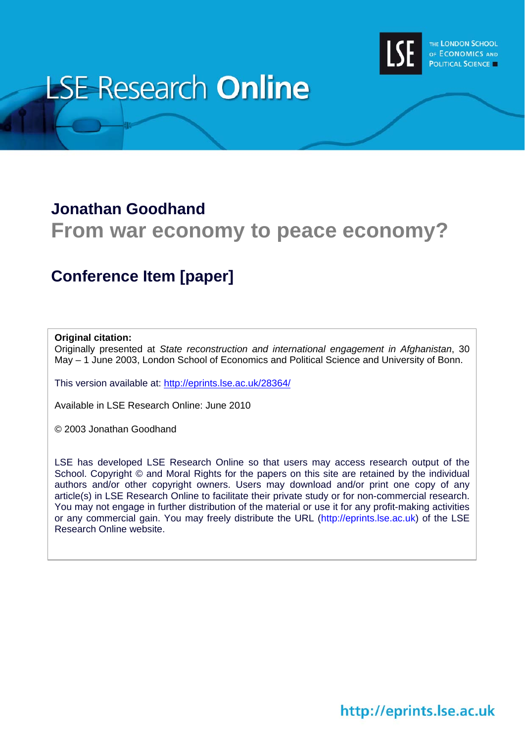

# **LSE Research Online**

### **Jonathan Goodhand**

# **From war economy to peace economy?**

## **Conference Item [paper]**

#### **Original citation:**

Originally presented at *State reconstruction and international engagement in Afghanistan*, 30 May – 1 June 2003, London School of Economics and Political Science and University of Bonn.

This version available at: <http://eprints.lse.ac.uk/28364/>

Available in LSE Research Online: June 2010

© 2003 Jonathan Goodhand

LSE has developed LSE Research Online so that users may access research output of the School. Copyright © and Moral Rights for the papers on this site are retained by the individual authors and/or other copyright owners. Users may download and/or print one copy of any article(s) in LSE Research Online to facilitate their private study or for non-commercial research. You may not engage in further distribution of the material or use it for any profit-making activities or any commercial gain. You may freely distribute the URL (http://eprints.lse.ac.uk) of the LSE Research Online website.

http://eprints.lse.ac.uk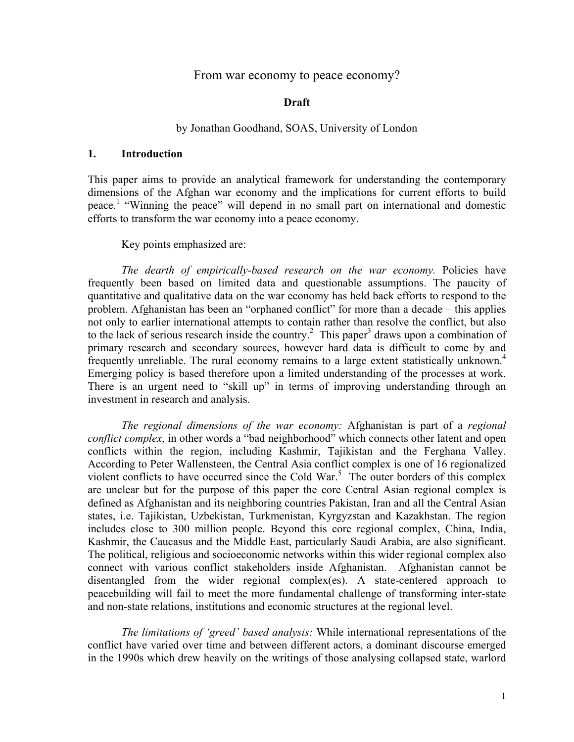#### From war economy to peace economy?

#### **Draft**

#### by Jonathan Goodhand, SOAS, University of London

#### **1. Introduction**

This paper aims to provide an analytical framework for understanding the contemporary dimensions of the Afghan war economy and the implications for current efforts to build peace.<sup>[1](#page-19-0)</sup> "Winning the peace" will depend in no small part on international and domestic efforts to transform the war economy into a peace economy.

Key points emphasized are:

*The dearth of empirically-based research on the war economy.* Policies have frequently been based on limited data and questionable assumptions. The paucity of quantitative and qualitative data on the war economy has held back efforts to respond to the problem. Afghanistan has been an "orphaned conflict" for more than a decade – this applies not only to earlier international attempts to contain rather than resolve the conflict, but also to the lack of serious research inside the country.<sup>[2](#page-19-1)</sup> This paper<sup>3</sup> [d](#page-19-2)raws upon a combination of primary research and secondary sources, however hard data is difficult to come by and frequently unreliable. The rural economy remains to a large extent statistically unknown.<sup>4</sup> Emerging policy is based therefore upon a limited understanding of the processes at work. There is an urgent need to "skill up" in terms of improving understanding through an investment in research and analysis.

*The regional dimensions of the war economy:* Afghanistan is part of a *regional conflict complex*, in other words a "bad neighborhood" which connects other latent and open conflicts within the region, including Kashmir, Tajikistan and the Ferghana Valley. According to Peter Wallensteen, the Central Asia conflict complex is one of 16 regionalized violent conflicts to have occurred since the Cold War.<sup>[5](#page-19-4)</sup> The outer borders of this complex are unclear but for the purpose of this paper the core Central Asian regional complex is defined as Afghanistan and its neighboring countries Pakistan, Iran and all the Central Asian states, i.e. Tajikistan, Uzbekistan, Turkmenistan, Kyrgyzstan and Kazakhstan. The region includes close to 300 million people. Beyond this core regional complex, China, India, Kashmir, the Caucasus and the Middle East, particularly Saudi Arabia, are also significant. The political, religious and socioeconomic networks within this wider regional complex also connect with various conflict stakeholders inside Afghanistan. Afghanistan cannot be disentangled from the wider regional complex(es). A state-centered approach to peacebuilding will fail to meet the more fundamental challenge of transforming inter-state and non-state relations, institutions and economic structures at the regional level.

*The limitations of 'greed' based analysis:* While international representations of the conflict have varied over time and between different actors, a dominant discourse emerged in the 1990s which drew heavily on the writings of those analysing collapsed state, warlord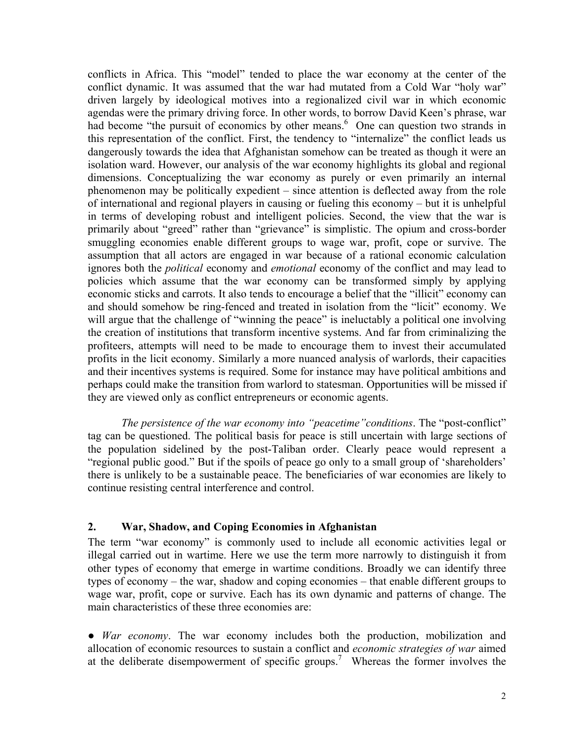conflicts in Africa. This "model" tended to place the war economy at the center of the conflict dynamic. It was assumed that the war had mutated from a Cold War "holy war" driven largely by ideological motives into a regionalized civil war in which economic agendas were the primary driving force. In other words, to borrow David Keen's phrase, war had become "the pursuit of economics by other means.<sup>[6](#page-19-5)</sup> One can question two strands in this representation of the conflict. First, the tendency to "internalize" the conflict leads us dangerously towards the idea that Afghanistan somehow can be treated as though it were an isolation ward. However, our analysis of the war economy highlights its global and regional dimensions. Conceptualizing the war economy as purely or even primarily an internal phenomenon may be politically expedient – since attention is deflected away from the role of international and regional players in causing or fueling this economy – but it is unhelpful in terms of developing robust and intelligent policies. Second, the view that the war is primarily about "greed" rather than "grievance" is simplistic. The opium and cross-border smuggling economies enable different groups to wage war, profit, cope or survive. The assumption that all actors are engaged in war because of a rational economic calculation ignores both the *political* economy and *emotional* economy of the conflict and may lead to policies which assume that the war economy can be transformed simply by applying economic sticks and carrots. It also tends to encourage a belief that the "illicit" economy can and should somehow be ring-fenced and treated in isolation from the "licit" economy. We will argue that the challenge of "winning the peace" is ineluctably a political one involving the creation of institutions that transform incentive systems. And far from criminalizing the profiteers, attempts will need to be made to encourage them to invest their accumulated profits in the licit economy. Similarly a more nuanced analysis of warlords, their capacities and their incentives systems is required. Some for instance may have political ambitions and perhaps could make the transition from warlord to statesman. Opportunities will be missed if they are viewed only as conflict entrepreneurs or economic agents.

*The persistence of the war economy into "peacetime"conditions*. The "post-conflict" tag can be questioned. The political basis for peace is still uncertain with large sections of the population sidelined by the post-Taliban order. Clearly peace would represent a "regional public good." But if the spoils of peace go only to a small group of 'shareholders' there is unlikely to be a sustainable peace. The beneficiaries of war economies are likely to continue resisting central interference and control.

#### **2. War, Shadow, and Coping Economies in Afghanistan**

The term "war economy" is commonly used to include all economic activities legal or illegal carried out in wartime. Here we use the term more narrowly to distinguish it from other types of economy that emerge in wartime conditions. Broadly we can identify three types of economy – the war, shadow and coping economies – that enable different groups to wage war, profit, cope or survive. Each has its own dynamic and patterns of change. The main characteristics of these three economies are:

● *War economy*. The war economy includes both the production, mobilization and allocation of economic resources to sustain a conflict and *economic strategies of war* aimed at the deliberate disempowerment of specific groups.<sup>[7](#page-19-6)</sup> Whereas the former involves the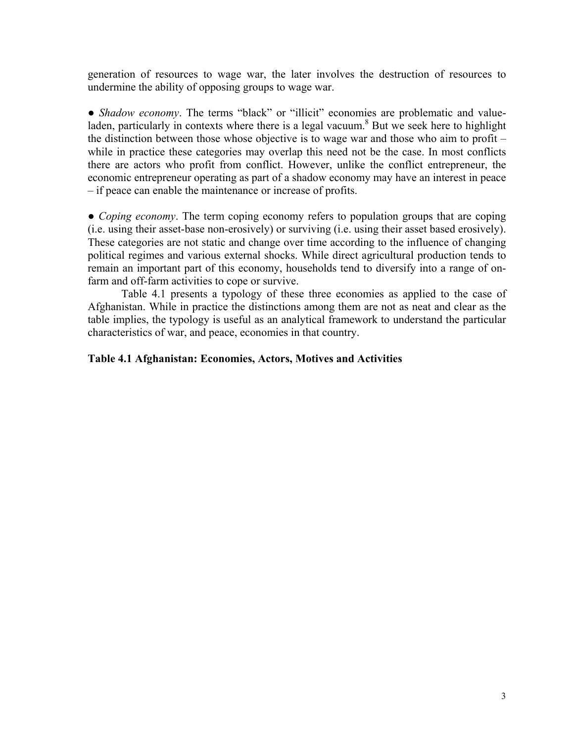generation of resources to wage war, the later involves the destruction of resources to undermine the ability of opposing groups to wage war.

● *Shadow economy*. The terms "black" or "illicit" economies are problematic and value-laden, particularly in contexts where there is a legal vacuum.<sup>[8](#page-19-7)</sup> But we seek here to highlight the distinction between those whose objective is to wage war and those who aim to profit – while in practice these categories may overlap this need not be the case. In most conflicts there are actors who profit from conflict. However, unlike the conflict entrepreneur, the economic entrepreneur operating as part of a shadow economy may have an interest in peace – if peace can enable the maintenance or increase of profits.

• *Coping economy*. The term coping economy refers to population groups that are coping (i.e. using their asset-base non-erosively) or surviving (i.e. using their asset based erosively). These categories are not static and change over time according to the influence of changing political regimes and various external shocks. While direct agricultural production tends to remain an important part of this economy, households tend to diversify into a range of onfarm and off-farm activities to cope or survive.

Table 4.1 presents a typology of these three economies as applied to the case of Afghanistan. While in practice the distinctions among them are not as neat and clear as the table implies, the typology is useful as an analytical framework to understand the particular characteristics of war, and peace, economies in that country.

#### **Table 4.1 Afghanistan: Economies, Actors, Motives and Activities**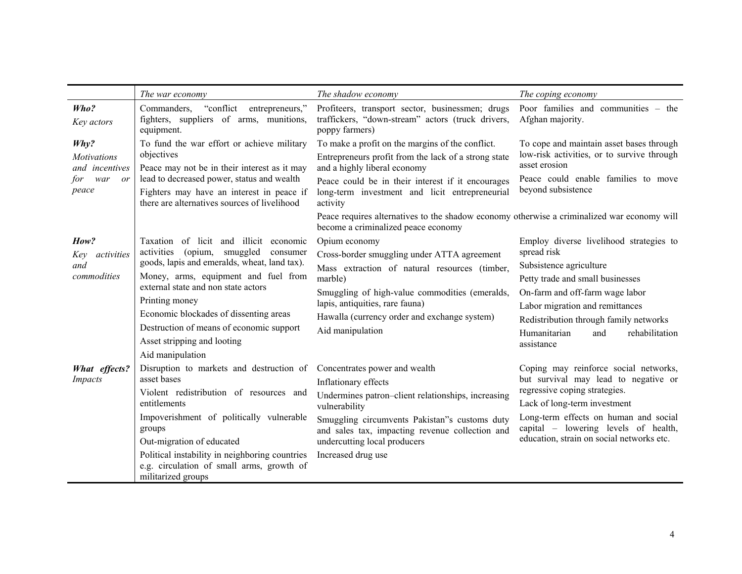|                                                                           | The war economy                                                                                                                                                                                                                                     | The shadow economy                                                                                                                                                                                                                                                | The coping economy                                                                                                                                                                                                                                                           |
|---------------------------------------------------------------------------|-----------------------------------------------------------------------------------------------------------------------------------------------------------------------------------------------------------------------------------------------------|-------------------------------------------------------------------------------------------------------------------------------------------------------------------------------------------------------------------------------------------------------------------|------------------------------------------------------------------------------------------------------------------------------------------------------------------------------------------------------------------------------------------------------------------------------|
| Who?<br>Key actors                                                        | Commanders, "conflict"<br>entrepreneurs,"<br>fighters, suppliers of arms, munitions,<br>equipment.                                                                                                                                                  | Profiteers, transport sector, businessmen; drugs<br>traffickers, "down-stream" actors (truck drivers,<br>poppy farmers)                                                                                                                                           | Poor families and communities – the<br>Afghan majority.                                                                                                                                                                                                                      |
| Why?<br><b>Motivations</b><br>and incentives<br>war<br>tor<br>or<br>peace | To fund the war effort or achieve military<br>objectives<br>Peace may not be in their interest as it may<br>lead to decreased power, status and wealth<br>Fighters may have an interest in peace if<br>there are alternatives sources of livelihood | To make a profit on the margins of the conflict.<br>Entrepreneurs profit from the lack of a strong state<br>and a highly liberal economy                                                                                                                          | To cope and maintain asset bases through<br>low-risk activities, or to survive through<br>asset erosion<br>Peace could enable families to move                                                                                                                               |
|                                                                           |                                                                                                                                                                                                                                                     | Peace could be in their interest if it encourages<br>long-term investment and licit entrepreneurial<br>activity                                                                                                                                                   | beyond subsistence                                                                                                                                                                                                                                                           |
|                                                                           |                                                                                                                                                                                                                                                     | Peace requires alternatives to the shadow economy otherwise a criminalized war economy will<br>become a criminalized peace economy                                                                                                                                |                                                                                                                                                                                                                                                                              |
| How?                                                                      | Taxation of licit and illicit economic                                                                                                                                                                                                              | Opium economy                                                                                                                                                                                                                                                     | Employ diverse livelihood strategies to                                                                                                                                                                                                                                      |
| activities<br>Key<br>and<br>commodities                                   | activities (opium, smuggled<br>consumer<br>goods, lapis and emeralds, wheat, land tax).<br>Money, arms, equipment and fuel from<br>external state and non state actors                                                                              | Cross-border smuggling under ATTA agreement<br>Mass extraction of natural resources (timber,<br>marble)<br>Smuggling of high-value commodities (emeralds,<br>lapis, antiquities, rare fauna)<br>Hawalla (currency order and exchange system)                      | spread risk                                                                                                                                                                                                                                                                  |
|                                                                           |                                                                                                                                                                                                                                                     |                                                                                                                                                                                                                                                                   | Subsistence agriculture<br>Petty trade and small businesses                                                                                                                                                                                                                  |
|                                                                           |                                                                                                                                                                                                                                                     |                                                                                                                                                                                                                                                                   | On-farm and off-farm wage labor                                                                                                                                                                                                                                              |
|                                                                           | Printing money                                                                                                                                                                                                                                      |                                                                                                                                                                                                                                                                   | Labor migration and remittances                                                                                                                                                                                                                                              |
|                                                                           | Economic blockades of dissenting areas                                                                                                                                                                                                              |                                                                                                                                                                                                                                                                   | Redistribution through family networks<br>Humanitarian<br>rehabilitation<br>and<br>assistance                                                                                                                                                                                |
|                                                                           | Destruction of means of economic support                                                                                                                                                                                                            | Aid manipulation                                                                                                                                                                                                                                                  |                                                                                                                                                                                                                                                                              |
|                                                                           | Asset stripping and looting<br>Aid manipulation                                                                                                                                                                                                     |                                                                                                                                                                                                                                                                   |                                                                                                                                                                                                                                                                              |
| What effects?<br><i>Impacts</i>                                           | Disruption to markets and destruction of<br>asset bases                                                                                                                                                                                             | Concentrates power and wealth<br>Inflationary effects<br>Undermines patron-client relationships, increasing<br>vulnerability<br>Smuggling circumvents Pakistan''s customs duty<br>and sales tax, impacting revenue collection and<br>undercutting local producers | Coping may reinforce social networks,<br>but survival may lead to negative or<br>regressive coping strategies.<br>Lack of long-term investment<br>Long-term effects on human and social<br>capital – lowering levels of health,<br>education, strain on social networks etc. |
|                                                                           | Violent redistribution of resources and<br>entitlements                                                                                                                                                                                             |                                                                                                                                                                                                                                                                   |                                                                                                                                                                                                                                                                              |
|                                                                           | Impoverishment of politically vulnerable<br>groups                                                                                                                                                                                                  |                                                                                                                                                                                                                                                                   |                                                                                                                                                                                                                                                                              |
|                                                                           | Out-migration of educated                                                                                                                                                                                                                           |                                                                                                                                                                                                                                                                   |                                                                                                                                                                                                                                                                              |
|                                                                           | Political instability in neighboring countries<br>e.g. circulation of small arms, growth of<br>militarized groups                                                                                                                                   | Increased drug use                                                                                                                                                                                                                                                |                                                                                                                                                                                                                                                                              |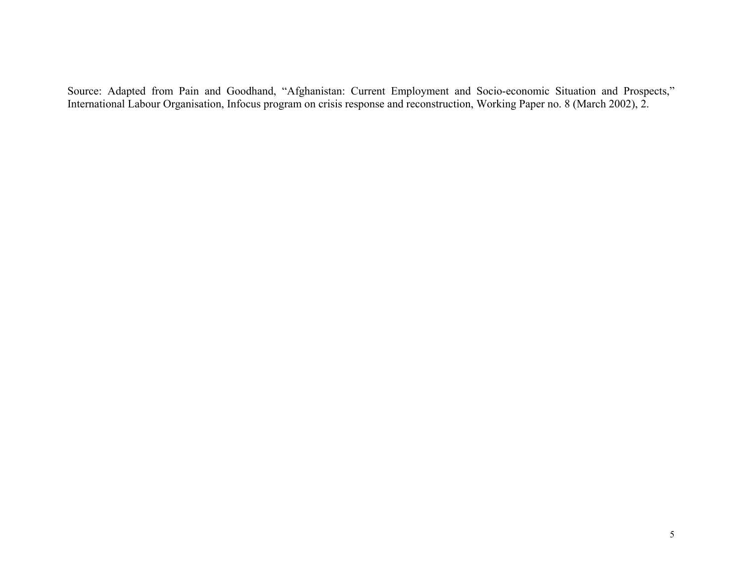Source: Adapted from Pain and Goodhand, "Afghanistan: Current Employment and Socio-economic Situation and Prospects," International Labour Organisation, Infocus program on crisis response and reconstruction, Working Paper no. 8 (March 2002), 2.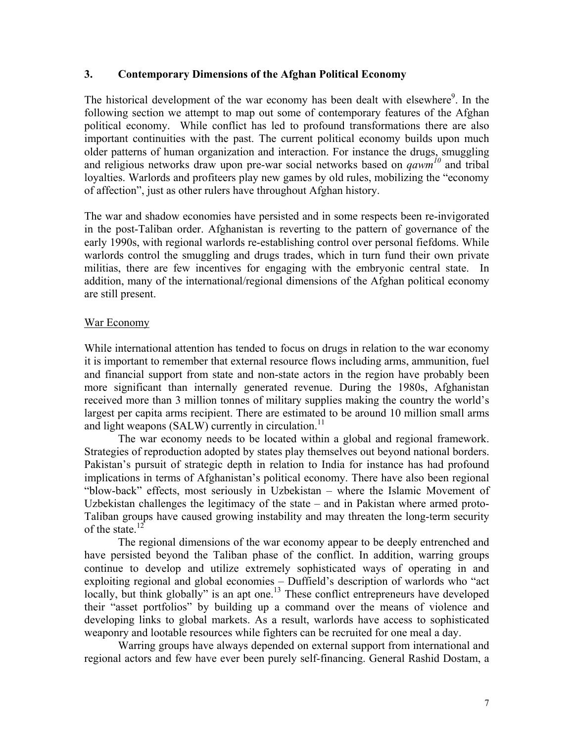#### **3. Contemporary Dimensions of the Afghan Political Economy**

The historical development of the war economy has been dealt with elsewhere $\degree$ . In the following section we attempt to map out some of contemporary features of the Afghan political economy. While conflict has led to profound transformations there are also important continuities with the past. The current political economy builds upon much older patterns of human organization and interaction. For instance the drugs, smuggling and religious networks draw upon pre-war social networks based on *qawm [10](#page-19-9)* and tribal loyalties. Warlords and profiteers play new games by old rules, mobilizing the "economy of affection", just as other rulers have throughout Afghan history.

The war and shadow economies have persisted and in some respects been re-invigorated in the post-Taliban order. Afghanistan is reverting to the pattern of governance of the early 1990s, with regional warlords re-establishing control over personal fiefdoms. While warlords control the smuggling and drugs trades, which in turn fund their own private militias, there are few incentives for engaging with the embryonic central state. In addition, many of the international/regional dimensions of the Afghan political economy are still present.

#### War Economy

While international attention has tended to focus on drugs in relation to the war economy it is important to remember that external resource flows including arms, ammunition, fuel and financial support from state and non-state actors in the region have probably been more significant than internally generated revenue. During the 1980s, Afghanistan received more than 3 million tonnes of military supplies making the country the world's largest per capita arms recipient. There are estimated to be around 10 million small arms and light weapons (SALW) currently in circulation.<sup>11</sup>

The war economy needs to be located within a global and regional framework. Strategies of reproduction adopted by states play themselves out beyond national borders. Pakistan's pursuit of strategic depth in relation to India for instance has had profound implications in terms of Afghanistan's political economy. There have also been regional "blow-back" effects, most seriously in Uzbekistan – where the Islamic Movement of Uzbekistan challenges the legitimacy of the state – and in Pakistan where armed proto-Taliban groups have caused growing instability and may threaten the long-term security of the state. $12$ 

The regional dimensions of the war economy appear to be deeply entrenched and have persisted beyond the Taliban phase of the conflict. In addition, warring groups continue to develop and utilize extremely sophisticated ways of operating in and exploiting regional and global economies – Duffield's description of warlords who "act locally, but think globally" is an apt one.<sup>13</sup> These conflict entrepreneurs have developed their "asset portfolios" by building up a command over the means of violence and developing links to global markets. As a result, warlords have access to sophisticated weaponry and lootable resources while fighters can be recruited for one meal a day.

Warring groups have always depended on external support from international and regional actors and few have ever been purely self-financing. General Rashid Dostam, a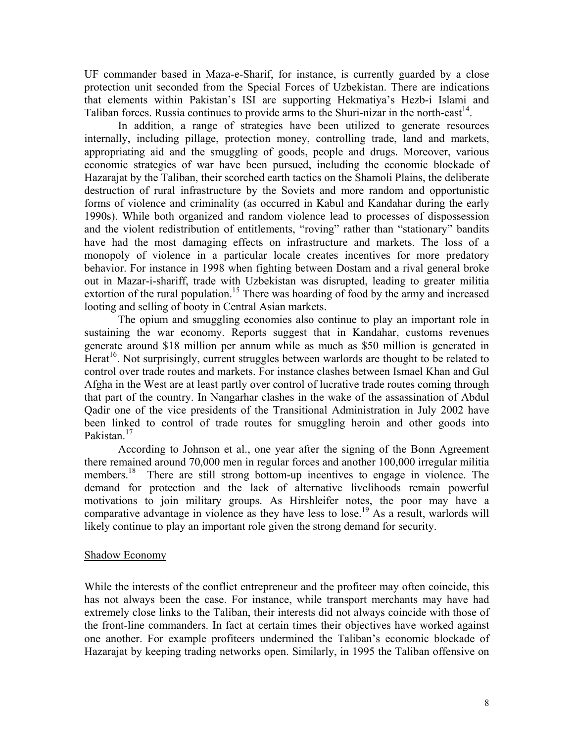UF commander based in Maza-e-Sharif, for instance, is currently guarded by a close protection unit seconded from the Special Forces of Uzbekistan. There are indications that elements within Pakistan's ISI are supporting Hekmatiya's Hezb-i Islami and Taliban forces. Russia continues to provide arms to the Shuri-nizar in the north-east<sup>14</sup>.

In addition, a range of strategies have been utilized to generate resources internally, including pillage, protection money, controlling trade, land and markets, appropriating aid and the smuggling of goods, people and drugs. Moreover, various economic strategies of war have been pursued, including the economic blockade of Hazarajat by the Taliban, their scorched earth tactics on the Shamoli Plains, the deliberate destruction of rural infrastructure by the Soviets and more random and opportunistic forms of violence and criminality (as occurred in Kabul and Kandahar during the early 1990s). While both organized and random violence lead to processes of dispossession and the violent redistribution of entitlements, "roving" rather than "stationary" bandits have had the most damaging effects on infrastructure and markets. The loss of a monopoly of violence in a particular locale creates incentives for more predatory behavior. For instance in 1998 when fighting between Dostam and a rival general broke out in Mazar-i-shariff, trade with Uzbekistan was disrupted, leading to greater militia extortion of the rural population.<sup>15</sup> There was hoarding of food by the army and increased looting and selling of booty in Central Asian markets.

The opium and smuggling economies also continue to play an important role in sustaining the war economy. Reports suggest that in Kandahar, customs revenues generate around \$18 million per annum while as much as \$50 million is generated in Herat<sup>16</sup>. Not surprisingly, current struggles between warlords are thought to be related to control over trade routes and markets. For instance clashes between Ismael Khan and Gul Afgha in the West are at least partly over control of lucrative trade routes coming through that part of the country. In Nangarhar clashes in the wake of the assassination of Abdul Qadir one of the vice presidents of the Transitional Administration in July 2002 have been linked to control of trade routes for smuggling heroin and other goods into Pakistan.<sup>17</sup>

According to Johnson et al., one year after the signing of the Bonn Agreement there remained around 70,000 men in regular forces and another 100,000 irregular militia members.<sup>18</sup> There are still strong bottom-up incentives to engage in violence. The demand for protection and the lack of alternative livelihoods remain powerful motivations to join military groups. As Hirshleifer notes, the poor may have a comparative advantage in violence as they have less to lose.<sup>19</sup> As a result, warlords will likely continue to play an important role given the strong demand for security.

#### Shadow Economy

While the interests of the conflict entrepreneur and the profiteer may often coincide, this has not always been the case. For instance, while transport merchants may have had extremely close links to the Taliban, their interests did not always coincide with those of the front-line commanders. In fact at certain times their objectives have worked against one another. For example profiteers undermined the Taliban's economic blockade of Hazarajat by keeping trading networks open. Similarly, in 1995 the Taliban offensive on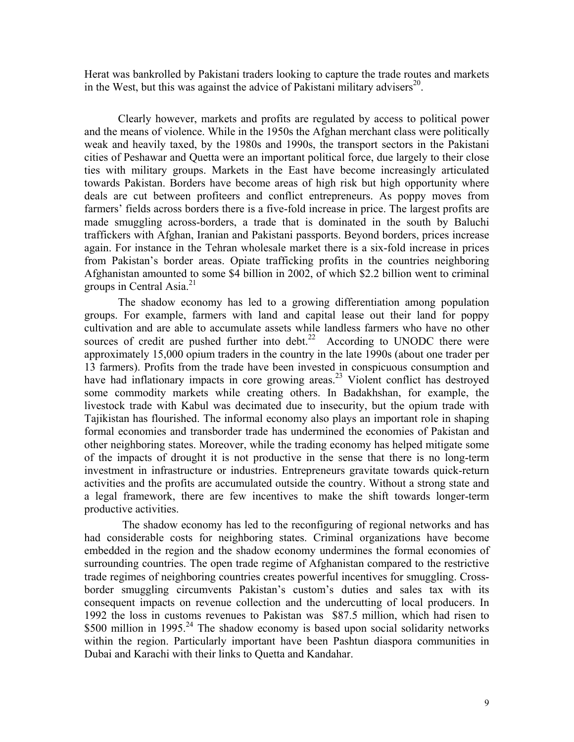Herat was bankrolled by Pakistani traders looking to capture the trade routes and markets in the West, but this was against the advice of Pakistani military advisers<sup>20</sup>.

Clearly however, markets and profits are regulated by access to political power and the means of violence. While in the 1950s the Afghan merchant class were politically weak and heavily taxed, by the 1980s and 1990s, the transport sectors in the Pakistani cities of Peshawar and Quetta were an important political force, due largely to their close ties with military groups. Markets in the East have become increasingly articulated towards Pakistan. Borders have become areas of high risk but high opportunity where deals are cut between profiteers and conflict entrepreneurs. As poppy moves from farmers' fields across borders there is a five-fold increase in price. The largest profits are made smuggling across-borders, a trade that is dominated in the south by Baluchi traffickers with Afghan, Iranian and Pakistani passports. Beyond borders, prices increase again. For instance in the Tehran wholesale market there is a six-fold increase in prices from Pakistan's border areas. Opiate trafficking profits in the countries neighboring Afghanistan amounted to some \$4 billion in 2002, of which \$2.2 billion went to criminal groups in Central Asia. $^{21}$  $^{21}$  $^{21}$ 

The shadow economy has led to a growing differentiation among population groups. For example, farmers with land and capital lease out their land for poppy cultivation and are able to accumulate assets while landless farmers who have no other sources of credit are pushed further into debt.<sup>22</sup> According to UNODC there were approximately 15,000 opium traders in the country in the late 1990s (about one trader per 13 farmers). Profits from the trade have been invested in conspicuous consumption and have had inflationary impacts in core growing areas.<sup>23</sup> Violent conflict has destroyed some commodity markets while creating others. In Badakhshan, for example, the livestock trade with Kabul was decimated due to insecurity, but the opium trade with Tajikistan has flourished. The informal economy also plays an important role in shaping formal economies and transborder trade has undermined the economies of Pakistan and other neighboring states. Moreover, while the trading economy has helped mitigate some of the impacts of drought it is not productive in the sense that there is no long-term investment in infrastructure or industries. Entrepreneurs gravitate towards quick-return activities and the profits are accumulated outside the country. Without a strong state and a legal framework, there are few incentives to make the shift towards longer-term productive activities.

The shadow economy has led to the reconfiguring of regional networks and has had considerable costs for neighboring states. Criminal organizations have become embedded in the region and the shadow economy undermines the formal economies of surrounding countries. The open trade regime of Afghanistan compared to the restrictive trade regimes of neighboring countries creates powerful incentives for smuggling. Crossborder smuggling circumvents Pakistan's custom's duties and sales tax with its consequent impacts on revenue collection and the undercutting of local producers. In 1992 the loss in customs revenues to Pakistan was \$87.5 million, which had risen to \$500 million in 1995.<sup>24</sup> The shadow economy is based upon social solidarity networks within the region. Particularly important have been Pashtun diaspora communities in Dubai and Karachi with their links to Quetta and Kandahar.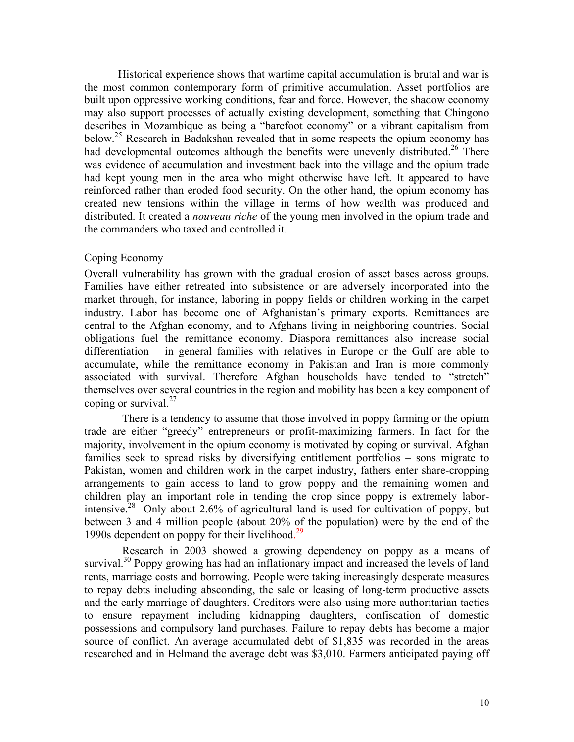Historical experience shows that wartime capital accumulation is brutal and war is the most common contemporary form of primitive accumulation. Asset portfolios are built upon oppressive working conditions, fear and force. However, the shadow economy may also support processes of actually existing development, something that Chingono describes in Mozambique as being a "barefoot economy" or a vibrant capitalism from below.<sup>25</sup> Research in Badakshan revealed that in some respects the opium economy has had developmental outcomes although the benefits were unevenly distributed.<sup>26</sup> There was evidence of accumulation and investment back into the village and the opium trade had kept young men in the area who might otherwise have left. It appeared to have reinforced rather than eroded food security. On the other hand, the opium economy has created new tensions within the village in terms of how wealth was produced and distributed. It created a *nouveau riche* of the young men involved in the opium trade and the commanders who taxed and controlled it.

#### Coping Economy

Overall vulnerability has grown with the gradual erosion of asset bases across groups. Families have either retreated into subsistence or are adversely incorporated into the market through, for instance, laboring in poppy fields or children working in the carpet industry. Labor has become one of Afghanistan's primary exports. Remittances are central to the Afghan economy, and to Afghans living in neighboring countries. Social obligations fuel the remittance economy. Diaspora remittances also increase social differentiation – in general families with relatives in Europe or the Gulf are able to accumulate, while the remittance economy in Pakistan and Iran is more commonly associated with survival. Therefore Afghan households have tended to "stretch" themselves over several countries in the region and mobility has been a key component of coping or survival. $27$ 

There is a tendency to assume that those involved in poppy farming or the opium trade are either "greedy" entrepreneurs or profit-maximizing farmers. In fact for the majority, involvement in the opium economy is motivated by coping or survival. Afghan families seek to spread risks by diversifying entitlement portfolios – sons migrate to Pakistan, women and children work in the carpet industry, fathers enter share-cropping arrangements to gain access to land to grow poppy and the remaining women and children play an important role in tending the crop since poppy is extremely laborintensive.[28](#page-19-27) Only about 2.6% of agricultural land is used for cultivation of poppy, but between 3 and 4 million people (about 20% of the population) were by the end of the 1990s dependent on poppy for their livelihood. [29](#page-19-28)

Research in 2003 showed a growing dependency on poppy as a means of survival.<sup>30</sup> Poppy growing has had an inflationary impact and increased the levels of land rents, marriage costs and borrowing. People were taking increasingly desperate measures to repay debts including absconding, the sale or leasing of long-term productive assets and the early marriage of daughters. Creditors were also using more authoritarian tactics to ensure repayment including kidnapping daughters, confiscation of domestic possessions and compulsory land purchases. Failure to repay debts has become a major source of conflict. An average accumulated debt of \$1,835 was recorded in the areas researched and in Helmand the average debt was \$3,010. Farmers anticipated paying off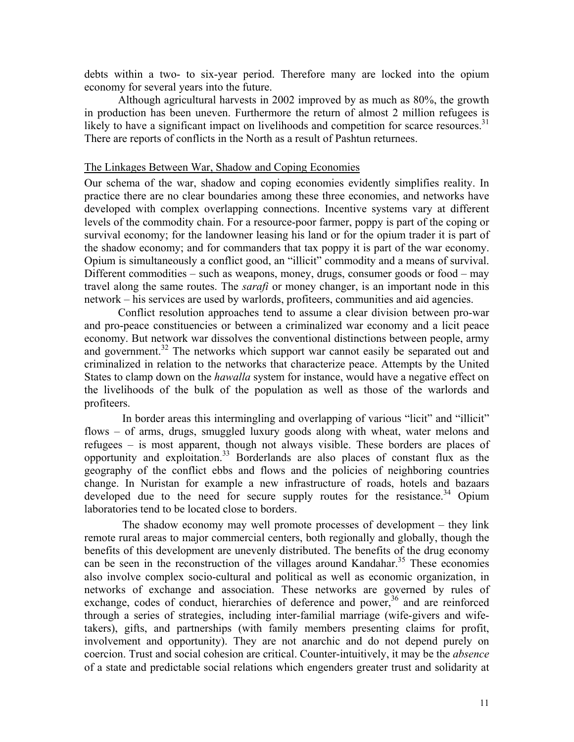debts within a two- to six-year period. Therefore many are locked into the opium economy for several years into the future.

Although agricultural harvests in 2002 improved by as much as 80%, the growth in production has been uneven. Furthermore the return of almost 2 million refugees is likely to have a significant impact on livelihoods and competition for scarce resources.<sup>31</sup> There are reports of conflicts in the North as a result of Pashtun returnees.

#### The Linkages Between War, Shadow and Coping Economies

Our schema of the war, shadow and coping economies evidently simplifies reality. In practice there are no clear boundaries among these three economies, and networks have developed with complex overlapping connections. Incentive systems vary at different levels of the commodity chain. For a resource-poor farmer, poppy is part of the coping or survival economy; for the landowner leasing his land or for the opium trader it is part of the shadow economy; and for commanders that tax poppy it is part of the war economy. Opium is simultaneously a conflict good, an "illicit" commodity and a means of survival. Different commodities – such as weapons, money, drugs, consumer goods or food – may travel along the same routes. The *sarafi* or money changer, is an important node in this network – his services are used by warlords, profiteers, communities and aid agencies.

Conflict resolution approaches tend to assume a clear division between pro-war and pro-peace constituencies or between a criminalized war economy and a licit peace economy. But network war dissolves the conventional distinctions between people, army and government.<sup>32</sup> The networks which support war cannot easily be separated out and criminalized in relation to the networks that characterize peace. Attempts by the United States to clamp down on the *hawalla* system for instance, would have a negative effect on the livelihoods of the bulk of the population as well as those of the warlords and profiteers.

In border areas this intermingling and overlapping of various "licit" and "illicit" flows – of arms, drugs, smuggled luxury goods along with wheat, water melons and refugees – is most apparent, though not always visible. These borders are places of opportunity and exploitation.[33](#page-19-32) Borderlands are also places of constant flux as the geography of the conflict ebbs and flows and the policies of neighboring countries change. In Nuristan for example a new infrastructure of roads, hotels and bazaars developed due to the need for secure supply routes for the resistance.<sup>34</sup> Opium laboratories tend to be located close to borders.

The shadow economy may well promote processes of development – they link remote rural areas to major commercial centers, both regionally and globally, though the benefits of this development are unevenly distributed. The benefits of the drug economy can be seen in the reconstruction of the villages around Kandahar.<sup>35</sup> These economies also involve complex socio-cultural and political as well as economic organization, in networks of exchange and association. These networks are governed by rules of exchange, codes of conduct, hierarchies of deference and power,<sup>36</sup> and are reinforced through a series of strategies, including inter-familial marriage (wife-givers and wifetakers), gifts, and partnerships (with family members presenting claims for profit, involvement and opportunity). They are not anarchic and do not depend purely on coercion. Trust and social cohesion are critical. Counter-intuitively, it may be the *absence* of a state and predictable social relations which engenders greater trust and solidarity at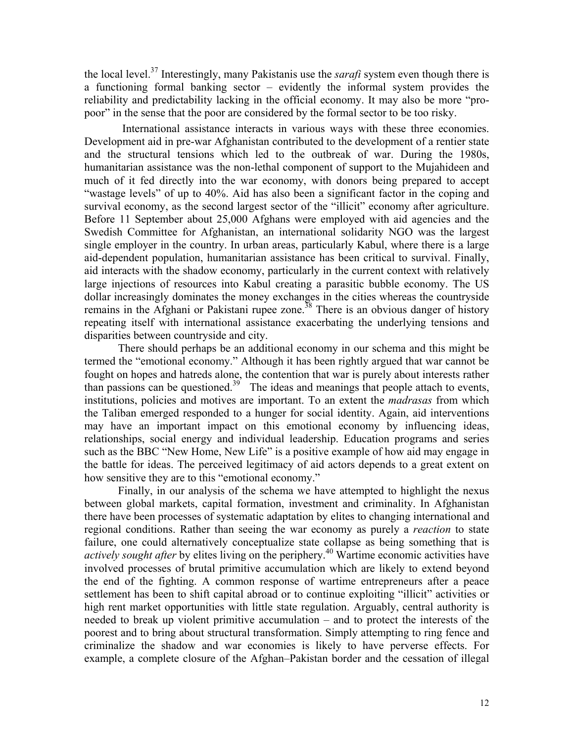the local level.[37 I](#page-19-36)nterestingly, many Pakistanis use the *sarafi* system even though there is a functioning formal banking sector – evidently the informal system provides the reliability and predictability lacking in the official economy. It may also be more "propoor" in the sense that the poor are considered by the formal sector to be too risky.

International assistance interacts in various ways with these three economies. Development aid in pre-war Afghanistan contributed to the development of a rentier state and the structural tensions which led to the outbreak of war. During the 1980s, humanitarian assistance was the non-lethal component of support to the Mujahideen and much of it fed directly into the war economy, with donors being prepared to accept "wastage levels" of up to 40%. Aid has also been a significant factor in the coping and survival economy, as the second largest sector of the "illicit" economy after agriculture. Before 11 September about 25,000 Afghans were employed with aid agencies and the Swedish Committee for Afghanistan, an international solidarity NGO was the largest single employer in the country. In urban areas, particularly Kabul, where there is a large aid-dependent population, humanitarian assistance has been critical to survival. Finally, aid interacts with the shadow economy, particularly in the current context with relatively large injections of resources into Kabul creating a parasitic bubble economy. The US dollar increasingly dominates the money exchanges in the cities whereas the countryside remains in the Afghani or Pakistani rupee zone.<sup>38</sup> There is an obvious danger of history repeating itself with international assistance exacerbating the underlying tensions and disparities between countryside and city.

There should perhaps be an additional economy in our schema and this might be termed the "emotional economy." Although it has been rightly argued that war cannot be fought on hopes and hatreds alone, the contention that war is purely about interests rather than passions can be questioned.<sup>39</sup> The ideas and meanings that people attach to events, institutions, policies and motives are important. To an extent the *madrasas* from which the Taliban emerged responded to a hunger for social identity. Again, aid interventions may have an important impact on this emotional economy by influencing ideas, relationships, social energy and individual leadership. Education programs and series such as the BBC "New Home, New Life" is a positive example of how aid may engage in the battle for ideas. The perceived legitimacy of aid actors depends to a great extent on how sensitive they are to this "emotional economy."

Finally, in our analysis of the schema we have attempted to highlight the nexus between global markets, capital formation, investment and criminality. In Afghanistan there have been processes of systematic adaptation by elites to changing international and regional conditions. Rather than seeing the war economy as purely a *reaction* to state failure, one could alternatively conceptualize state collapse as being something that is *actively sought after* by elites living on the periphery.<sup>40</sup> Wartime economic activities have involved processes of brutal primitive accumulation which are likely to extend beyond the end of the fighting. A common response of wartime entrepreneurs after a peace settlement has been to shift capital abroad or to continue exploiting "illicit" activities or high rent market opportunities with little state regulation. Arguably, central authority is needed to break up violent primitive accumulation – and to protect the interests of the poorest and to bring about structural transformation. Simply attempting to ring fence and criminalize the shadow and war economies is likely to have perverse effects. For example, a complete closure of the Afghan–Pakistan border and the cessation of illegal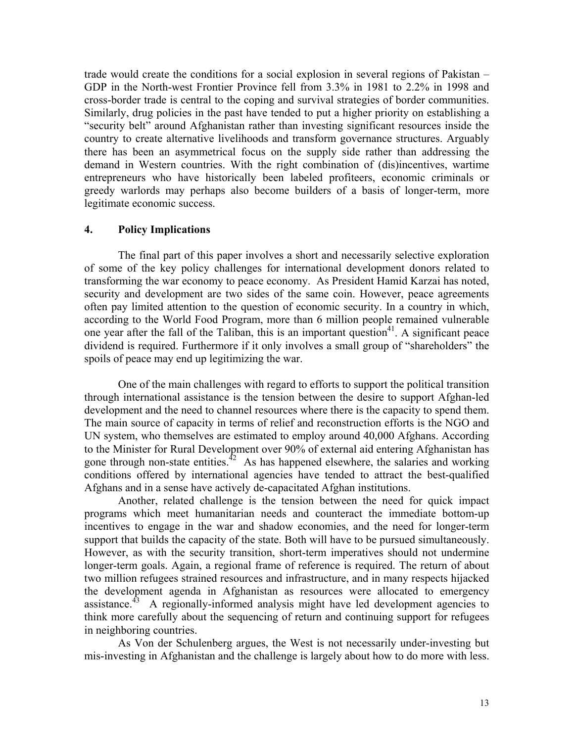trade would create the conditions for a social explosion in several regions of Pakistan – GDP in the North-west Frontier Province fell from 3.3% in 1981 to 2.2% in 1998 and cross-border trade is central to the coping and survival strategies of border communities. Similarly, drug policies in the past have tended to put a higher priority on establishing a "security belt" around Afghanistan rather than investing significant resources inside the country to create alternative livelihoods and transform governance structures. Arguably there has been an asymmetrical focus on the supply side rather than addressing the demand in Western countries. With the right combination of (dis)incentives, wartime entrepreneurs who have historically been labeled profiteers, economic criminals or greedy warlords may perhaps also become builders of a basis of longer-term, more legitimate economic success.

#### **4. Policy Implications**

The final part of this paper involves a short and necessarily selective exploration of some of the key policy challenges for international development donors related to transforming the war economy to peace economy. As President Hamid Karzai has noted, security and development are two sides of the same coin. However, peace agreements often pay limited attention to the question of economic security. In a country in which, according to the World Food Program, more than 6 million people remained vulnerable one year after the fall of the Taliban, this is an important question<sup>41</sup>. A significant peace dividend is required. Furthermore if it only involves a small group of "shareholders" the spoils of peace may end up legitimizing the war.

One of the main challenges with regard to efforts to support the political transition through international assistance is the tension between the desire to support Afghan-led development and the need to channel resources where there is the capacity to spend them. The main source of capacity in terms of relief and reconstruction efforts is the NGO and UN system, who themselves are estimated to employ around 40,000 Afghans. According to the Minister for Rural Development over 90% of external aid entering Afghanistan has gone through non-state entities.<sup> $42$ </sup> As has happened elsewhere, the salaries and working conditions offered by international agencies have tended to attract the best-qualified Afghans and in a sense have actively de-capacitated Afghan institutions.

Another, related challenge is the tension between the need for quick impact programs which meet humanitarian needs and counteract the immediate bottom-up incentives to engage in the war and shadow economies, and the need for longer-term support that builds the capacity of the state. Both will have to be pursued simultaneously. However, as with the security transition, short-term imperatives should not undermine longer-term goals. Again, a regional frame of reference is required. The return of about two million refugees strained resources and infrastructure, and in many respects hijacked the development agenda in Afghanistan as resources were allocated to emergency assistance.<sup>43</sup> A regionally-informed analysis might have led development agencies to think more carefully about the sequencing of return and continuing support for refugees in neighboring countries.

As Von der Schulenberg argues, the West is not necessarily under-investing but mis-investing in Afghanistan and the challenge is largely about how to do more with less.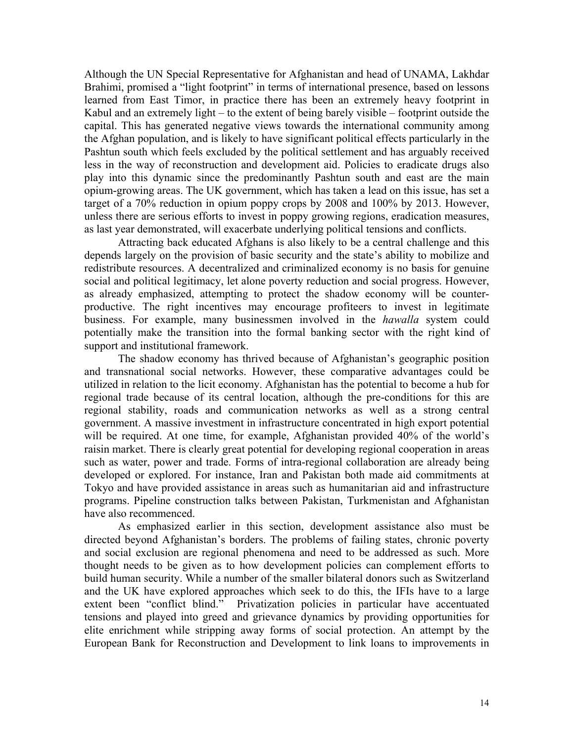Although the UN Special Representative for Afghanistan and head of UNAMA, Lakhdar Brahimi, promised a "light footprint" in terms of international presence, based on lessons learned from East Timor, in practice there has been an extremely heavy footprint in Kabul and an extremely light – to the extent of being barely visible – footprint outside the capital. This has generated negative views towards the international community among the Afghan population, and is likely to have significant political effects particularly in the Pashtun south which feels excluded by the political settlement and has arguably received less in the way of reconstruction and development aid. Policies to eradicate drugs also play into this dynamic since the predominantly Pashtun south and east are the main opium-growing areas. The UK government, which has taken a lead on this issue, has set a target of a 70% reduction in opium poppy crops by 2008 and 100% by 2013. However, unless there are serious efforts to invest in poppy growing regions, eradication measures, as last year demonstrated, will exacerbate underlying political tensions and conflicts.

Attracting back educated Afghans is also likely to be a central challenge and this depends largely on the provision of basic security and the state's ability to mobilize and redistribute resources. A decentralized and criminalized economy is no basis for genuine social and political legitimacy, let alone poverty reduction and social progress. However, as already emphasized, attempting to protect the shadow economy will be counterproductive. The right incentives may encourage profiteers to invest in legitimate business. For example, many businessmen involved in the *hawalla* system could potentially make the transition into the formal banking sector with the right kind of support and institutional framework.

The shadow economy has thrived because of Afghanistan's geographic position and transnational social networks. However, these comparative advantages could be utilized in relation to the licit economy. Afghanistan has the potential to become a hub for regional trade because of its central location, although the pre-conditions for this are regional stability, roads and communication networks as well as a strong central government. A massive investment in infrastructure concentrated in high export potential will be required. At one time, for example, Afghanistan provided 40% of the world's raisin market. There is clearly great potential for developing regional cooperation in areas such as water, power and trade. Forms of intra-regional collaboration are already being developed or explored. For instance, Iran and Pakistan both made aid commitments at Tokyo and have provided assistance in areas such as humanitarian aid and infrastructure programs. Pipeline construction talks between Pakistan, Turkmenistan and Afghanistan have also recommenced.

As emphasized earlier in this section, development assistance also must be directed beyond Afghanistan's borders. The problems of failing states, chronic poverty and social exclusion are regional phenomena and need to be addressed as such. More thought needs to be given as to how development policies can complement efforts to build human security. While a number of the smaller bilateral donors such as Switzerland and the UK have explored approaches which seek to do this, the IFIs have to a large extent been "conflict blind." Privatization policies in particular have accentuated tensions and played into greed and grievance dynamics by providing opportunities for elite enrichment while stripping away forms of social protection. An attempt by the European Bank for Reconstruction and Development to link loans to improvements in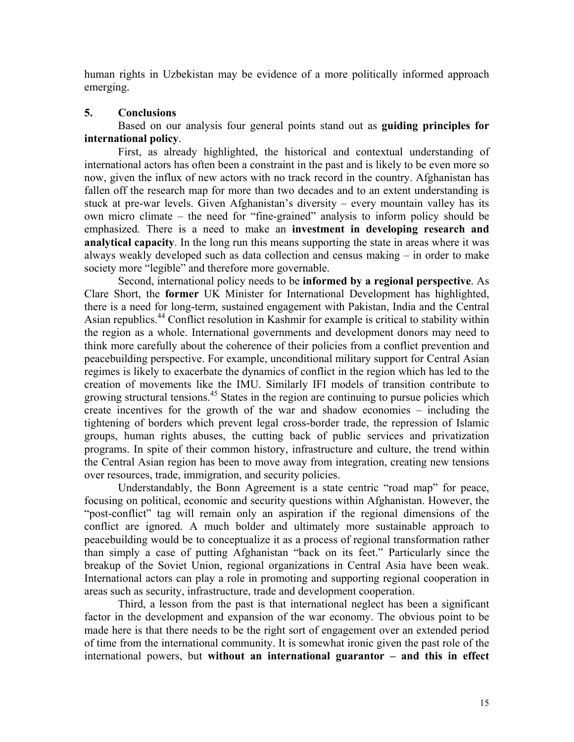human rights in Uzbekistan may be evidence of a more politically informed approach emerging.

#### **5. Conclusions**

Based on our analysis four general points stand out as **guiding principles for international policy**.

First, as already highlighted, the historical and contextual understanding of international actors has often been a constraint in the past and is likely to be even more so now, given the influx of new actors with no track record in the country. Afghanistan has fallen off the research map for more than two decades and to an extent understanding is stuck at pre-war levels. Given Afghanistan's diversity – every mountain valley has its own micro climate – the need for "fine-grained" analysis to inform policy should be emphasized. There is a need to make an **investment in developing research and analytical capacity**. In the long run this means supporting the state in areas where it was always weakly developed such as data collection and census making – in order to make society more "legible" and therefore more governable.

Second, international policy needs to be **informed by a regional perspective**. As Clare Short, the **former** UK Minister for International Development has highlighted, there is a need for long-term, sustained engagement with Pakistan, India and the Central Asian republics.<sup>44</sup> Conflict resolution in Kashmir for example is critical to stability within the region as a whole. International governments and development donors may need to think more carefully about the coherence of their policies from a conflict prevention and peacebuilding perspective. For example, unconditional military support for Central Asian regimes is likely to exacerbate the dynamics of conflict in the region which has led to the creation of movements like the IMU. Similarly IFI models of transition contribute to growing structural tensions.<sup>45</sup> States in the region are continuing to pursue policies which create incentives for the growth of the war and shadow economies – including the tightening of borders which prevent legal cross-border trade, the repression of Islamic groups, human rights abuses, the cutting back of public services and privatization programs. In spite of their common history, infrastructure and culture, the trend within the Central Asian region has been to move away from integration, creating new tensions over resources, trade, immigration, and security policies.

Understandably, the Bonn Agreement is a state centric "road map" for peace, focusing on political, economic and security questions within Afghanistan. However, the "post-conflict" tag will remain only an aspiration if the regional dimensions of the conflict are ignored. A much bolder and ultimately more sustainable approach to peacebuilding would be to conceptualize it as a process of regional transformation rather than simply a case of putting Afghanistan "back on its feet." Particularly since the breakup of the Soviet Union, regional organizations in Central Asia have been weak. International actors can play a role in promoting and supporting regional cooperation in areas such as security, infrastructure, trade and development cooperation.

Third, a lesson from the past is that international neglect has been a significant factor in the development and expansion of the war economy. The obvious point to be made here is that there needs to be the right sort of engagement over an extended period of time from the international community. It is somewhat ironic given the past role of the international powers, but **without an international guarantor – and this in effect**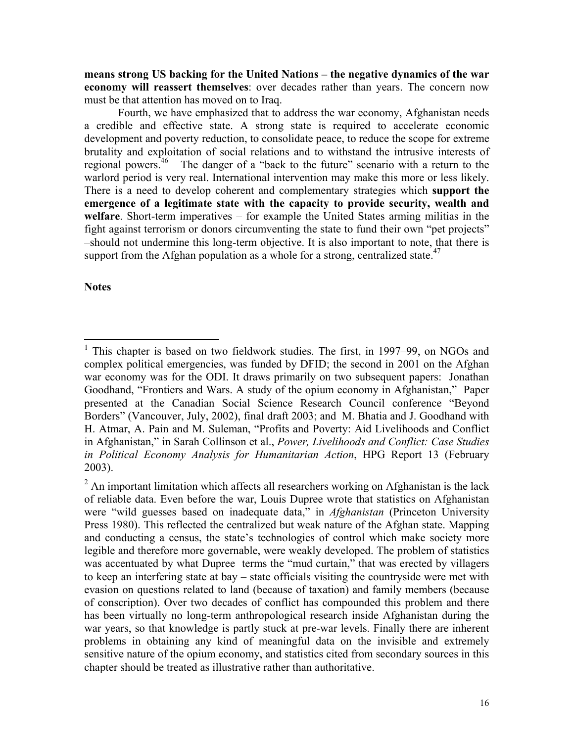**means strong US backing for the United Nations – the negative dynamics of the war economy will reassert themselves**: over decades rather than years. The concern now must be that attention has moved on to Iraq.

Fourth, we have emphasized that to address the war economy, Afghanistan needs a credible and effective state. A strong state is required to accelerate economic development and poverty reduction, to consolidate peace, to reduce the scope for extreme brutality and exploitation of social relations and to withstand the intrusive interests of regional powers.[46](#page-19-45) The danger of a "back to the future" scenario with a return to the warlord period is very real. International intervention may make this more or less likely. There is a need to develop coherent and complementary strategies which **support the emergence of a legitimate state with the capacity to provide security, wealth and welfare**. Short-term imperatives – for example the United States arming militias in the fight against terrorism or donors circumventing the state to fund their own "pet projects" –should not undermine this long-term objective. It is also important to note, that there is support from the Afghan population as a whole for a strong, centralized state.<sup>47</sup>

#### **Notes**

1

<sup>&</sup>lt;sup>1</sup> This chapter is based on two fieldwork studies. The first, in 1997–99, on NGOs and complex political emergencies, was funded by DFID; the second in 2001 on the Afghan war economy was for the ODI. It draws primarily on two subsequent papers: Jonathan Goodhand, "Frontiers and Wars. A study of the opium economy in Afghanistan," Paper presented at the Canadian Social Science Research Council conference "Beyond Borders" (Vancouver, July, 2002), final draft 2003; and M. Bhatia and J. Goodhand with H. Atmar, A. Pain and M. Suleman, "Profits and Poverty: Aid Livelihoods and Conflict in Afghanistan," in Sarah Collinson et al., *Power, Livelihoods and Conflict: Case Studies in Political Economy Analysis for Humanitarian Action*, HPG Report 13 (February 2003).

 $2^2$  An important limitation which affects all researchers working on Afghanistan is the lack of reliable data. Even before the war, Louis Dupree wrote that statistics on Afghanistan were "wild guesses based on inadequate data," in *Afghanistan* (Princeton University Press 1980). This reflected the centralized but weak nature of the Afghan state. Mapping and conducting a census, the state's technologies of control which make society more legible and therefore more governable, were weakly developed. The problem of statistics was accentuated by what Dupree terms the "mud curtain," that was erected by villagers to keep an interfering state at bay – state officials visiting the countryside were met with evasion on questions related to land (because of taxation) and family members (because of conscription). Over two decades of conflict has compounded this problem and there has been virtually no long-term anthropological research inside Afghanistan during the war years, so that knowledge is partly stuck at pre-war levels. Finally there are inherent problems in obtaining any kind of meaningful data on the invisible and extremely sensitive nature of the opium economy, and statistics cited from secondary sources in this chapter should be treated as illustrative rather than authoritative.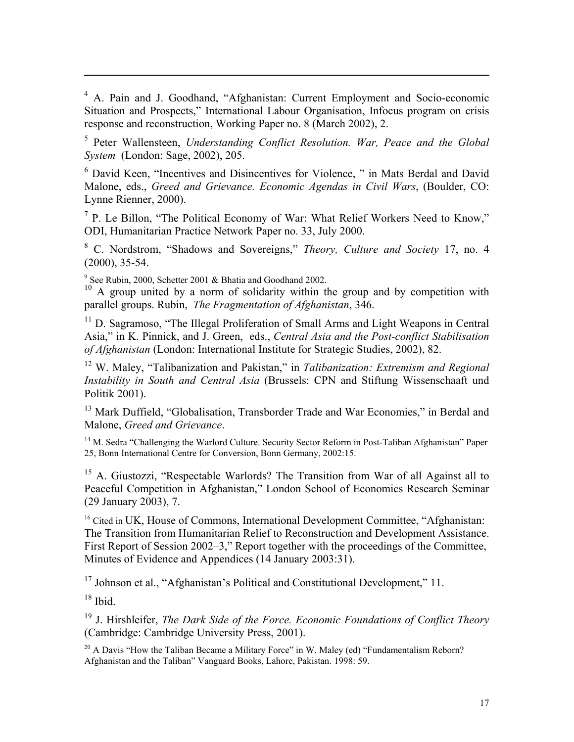<sup>4</sup> A. Pain and J. Goodhand, "Afghanistan: Current Employment and Socio-economic Situation and Prospects," International Labour Organisation, Infocus program on crisis response and reconstruction, Working Paper no. 8 (March 2002), 2.

5 Peter Wallensteen, *Understanding Conflict Resolution. War, Peace and the Global System* (London: Sage, 2002), 205.

<sup>6</sup> David Keen, "Incentives and Disincentives for Violence, " in Mats Berdal and David Malone, eds., *Greed and Grievance. Economic Agendas in Civil Wars*, (Boulder, CO: Lynne Rienner, 2000).

<sup>7</sup> P. Le Billon, "The Political Economy of War: What Relief Workers Need to Know," ODI, Humanitarian Practice Network Paper no. 33, July 2000.

8 C. Nordstrom, "Shadows and Sovereigns," *Theory, Culture and Society* 17, no. 4 (2000), 35-54.

<sup>9</sup> See Rubin, 2000, Schetter 2001 & Bhatia and Goodhand 2002.

<sup>10</sup> A group united by a norm of solidarity within the group and by competition with parallel groups. Rubin, *The Fragmentation of Afghanistan*, 346.

<sup>11</sup> D. Sagramoso, "The Illegal Proliferation of Small Arms and Light Weapons in Central Asia," in K. Pinnick, and J. Green, eds., *Central Asia and the Post-conflict Stabilisation of Afghanistan* (London: International Institute for Strategic Studies, 2002), 82.

12 W. Maley, "Talibanization and Pakistan," in *Talibanization: Extremism and Regional Instability in South and Central Asia* (Brussels: CPN and Stiftung Wissenschaaft und Politik 2001).

<sup>13</sup> Mark Duffield, "Globalisation, Transborder Trade and War Economies," in Berdal and Malone, *Greed and Grievance*.

<sup>14</sup> M. Sedra "Challenging the Warlord Culture. Security Sector Reform in Post-Taliban Afghanistan" Paper 25, Bonn International Centre for Conversion, Bonn Germany, 2002:15.

<sup>15</sup> A. Giustozzi, "Respectable Warlords? The Transition from War of all Against all to Peaceful Competition in Afghanistan," London School of Economics Research Seminar (29 January 2003), 7.

<sup>16</sup> Cited in UK, House of Commons, International Development Committee, "Afghanistan: The Transition from Humanitarian Relief to Reconstruction and Development Assistance. First Report of Session 2002–3," Report together with the proceedings of the Committee, Minutes of Evidence and Appendices (14 January 2003:31).

<sup>17</sup> Johnson et al., "Afghanistan's Political and Constitutional Development," 11.

 $18$  Ibid.

 $\overline{a}$ 

19 J. Hirshleifer, *The Dark Side of the Force. Economic Foundations of Conflict Theory* (Cambridge: Cambridge University Press, 2001).

 $20$  A Davis "How the Taliban Became a Military Force" in W. Maley (ed) "Fundamentalism Reborn? Afghanistan and the Taliban" Vanguard Books, Lahore, Pakistan. 1998: 59.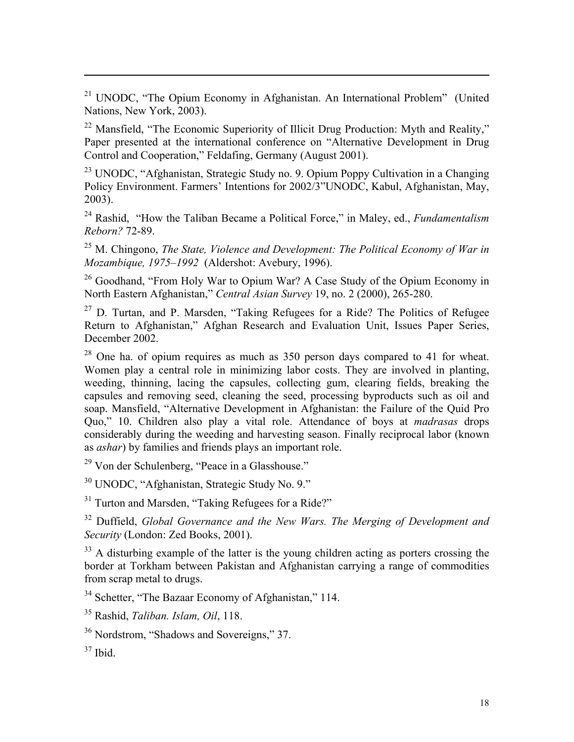$21$  UNODC, "The Opium Economy in Afghanistan. An International Problem" (United Nations, New York, 2003).

 $22$  Mansfield, "The Economic Superiority of Illicit Drug Production: Myth and Reality," Paper presented at the international conference on "Alternative Development in Drug Control and Cooperation," Feldafing, Germany (August 2001).

23 UNODC, "Afghanistan, Strategic Study no. 9. Opium Poppy Cultivation in a Changing Policy Environment. Farmers' Intentions for 2002/3"UNODC, Kabul, Afghanistan, May, 2003).

24 Rashid, "How the Taliban Became a Political Force," in Maley, ed., *Fundamentalism Reborn?* 72-89.

25 M. Chingono, *The State, Violence and Development: The Political Economy of War in Mozambique, 1975–1992* (Aldershot: Avebury, 1996).

26 Goodhand, "From Holy War to Opium War? A Case Study of the Opium Economy in North Eastern Afghanistan," *Central Asian Survey* 19, no. 2 (2000), 265-280.

 $27$  D. Turtan, and P. Marsden, "Taking Refugees for a Ride? The Politics of Refugee Return to Afghanistan," Afghan Research and Evaluation Unit, Issues Paper Series, December 2002.

 $28$  One ha. of opium requires as much as 350 person days compared to 41 for wheat. Women play a central role in minimizing labor costs. They are involved in planting, weeding, thinning, lacing the capsules, collecting gum, clearing fields, breaking the capsules and removing seed, cleaning the seed, processing byproducts such as oil and soap. Mansfield, "Alternative Development in Afghanistan: the Failure of the Quid Pro Quo," 10. Children also play a vital role. Attendance of boys at *madrasas* drops considerably during the weeding and harvesting season. Finally reciprocal labor (known as *ashar*) by families and friends plays an important role.

29 Von der Schulenberg, "Peace in a Glasshouse."

30 UNODC, "Afghanistan, Strategic Study No. 9."

<sup>31</sup> Turton and Marsden, "Taking Refugees for a Ride?"

32 Duffield, *Global Governance and the New Wars. The Merging of Development and Security* (London: Zed Books, 2001).

 $33$  A disturbing example of the latter is the young children acting as porters crossing the border at Torkham between Pakistan and Afghanistan carrying a range of commodities from scrap metal to drugs.

<sup>34</sup> Schetter, "The Bazaar Economy of Afghanistan," 114.

35 Rashid, *Taliban. Islam, Oil*, 118.

<sup>36</sup> Nordstrom, "Shadows and Sovereigns," 37.

 $37$  Ibid.

 $\overline{a}$